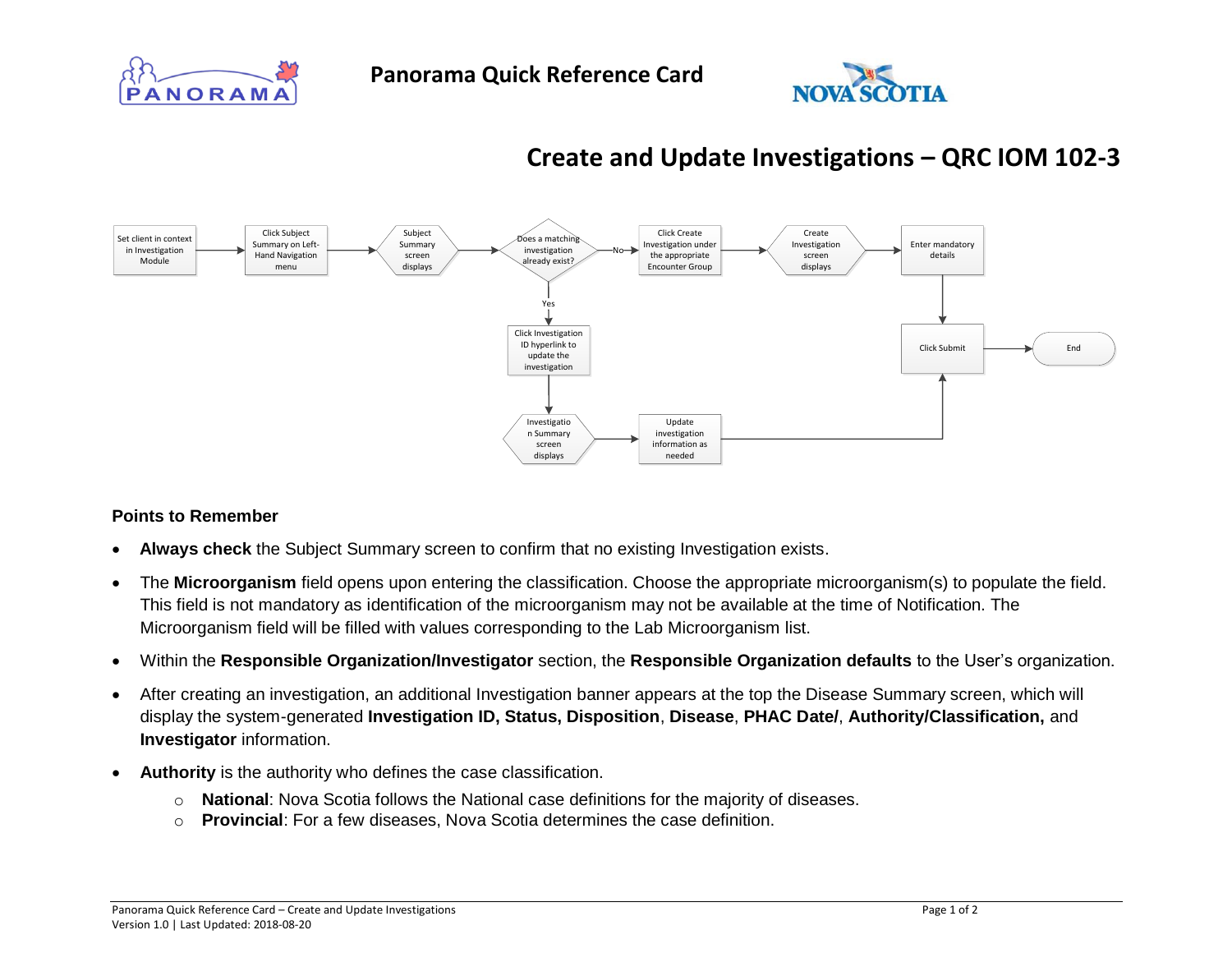



## **Create and Update Investigations – QRC IOM 102-3**



## **Points to Remember**

- **Always check** the Subject Summary screen to confirm that no existing Investigation exists.
- The **Microorganism** field opens upon entering the classification. Choose the appropriate microorganism(s) to populate the field. This field is not mandatory as identification of the microorganism may not be available at the time of Notification. The Microorganism field will be filled with values corresponding to the Lab Microorganism list.
- Within the **Responsible Organization/Investigator** section, the **Responsible Organization defaults** to the User's organization.
- After creating an investigation, an additional Investigation banner appears at the top the Disease Summary screen, which will display the system-generated **Investigation ID, Status, Disposition**, **Disease**, **PHAC Date/**, **Authority/Classification,** and **Investigator** information.
- **Authority** is the authority who defines the case classification.
	- o **National**: Nova Scotia follows the National case definitions for the majority of diseases.
	- o **Provincial**: For a few diseases, Nova Scotia determines the case definition.